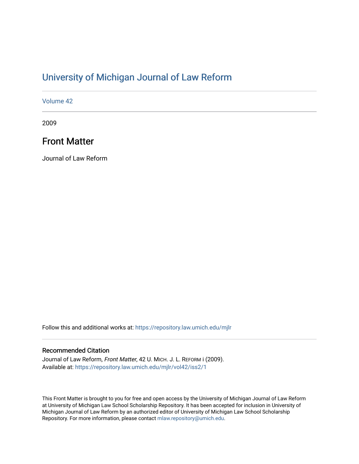## [University of Michigan Journal of Law Reform](https://repository.law.umich.edu/mjlr)

[Volume 42](https://repository.law.umich.edu/mjlr/vol42)

2009

## Front Matter

Journal of Law Reform

Follow this and additional works at: [https://repository.law.umich.edu/mjlr](https://repository.law.umich.edu/mjlr?utm_source=repository.law.umich.edu%2Fmjlr%2Fvol42%2Fiss2%2F1&utm_medium=PDF&utm_campaign=PDFCoverPages) 

## Recommended Citation

Journal of Law Reform, Front Matter, 42 U. MICH. J. L. REFORM i (2009). Available at: [https://repository.law.umich.edu/mjlr/vol42/iss2/1](https://repository.law.umich.edu/mjlr/vol42/iss2/1?utm_source=repository.law.umich.edu%2Fmjlr%2Fvol42%2Fiss2%2F1&utm_medium=PDF&utm_campaign=PDFCoverPages) 

This Front Matter is brought to you for free and open access by the University of Michigan Journal of Law Reform at University of Michigan Law School Scholarship Repository. It has been accepted for inclusion in University of Michigan Journal of Law Reform by an authorized editor of University of Michigan Law School Scholarship Repository. For more information, please contact [mlaw.repository@umich.edu](mailto:mlaw.repository@umich.edu).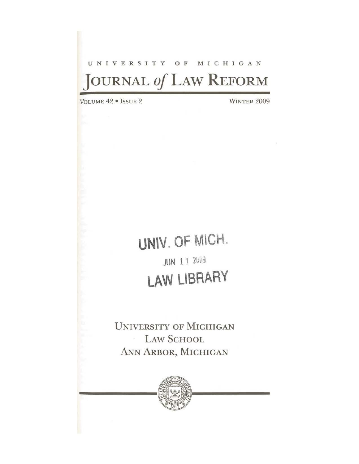# UNIVERSITY OF MICHIGAN **JOURNAL** *of* LAW **REFORM**

VOLUME 42 · ISSUE 2 WINTER 2009

# **UN\V. OF** MICH. **JUN 11 2009** LAW LIBRARY

UNIVERSITY OF MICHIGAN LAW SCHOOL  $\sim$ ANN ARBOR, MICHIGAN

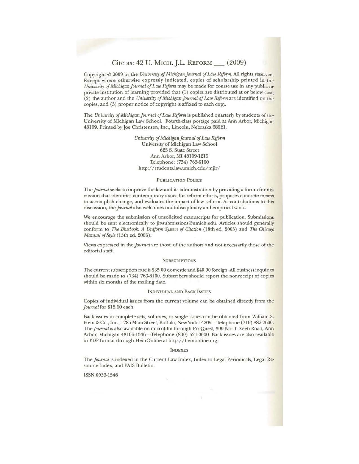### Cite as: 42 U. MrcH. J.L. REFORM \_ (2009)

Copyright© 2009 by the *University of Michigan journal of Law Reform.* All rights reserved. Except where otherwise expressly indicated, copies of scholarship printed in the *University of Michigan journal of Law Reform* may be made for course use in any public or private institution of learning provided that (1) copies are distributed at or below cost, (2) the author and the *University of Michigan Journal of Law Reform* are identified on the copies, and (3) proper notice of copyright is affixed to each copy.

The *University of Michigan Journal of Law Reform* is published quarterly by students of the University of Michigan Law School. Fourth-class postage paid at Ann Arbor, Michigan 48109. Printed by Joe Christensen, lnc., Lincoln, Nebraska 68521.

> *University of Michigan Journal of Law Ref<mn*  University of Michigan Law School 625 S. State Street Ann Arbor, Ml 48109-1215 Telephone: (734) 763-6100 http://students.law.umich.edu/mjlr/

#### PUBLICATION POLICY

The *Journal* seeks to improve the law and its administration by providing a forum for discussion that identifies contemporary issues for reform efforts, proposes concrete means to accomplish change, and evaluates the impact of law reform. As contributions to this discussion, the *Journal* also welcomes multidisciplinary and empirical work.

We encourage the submission of unsolicited manuscripts for publication. Submissions should be sent electronically to jlr-submissions@umich.edu. Articles should generally conform to *The Bluebook: A Uniform System of Citatum* (18th ed. 2005) and *The Chicago Manual of Style* (15th ed. 2003).

Views expressed in the *journal* are those of the authors and not necessarily those of the editorial staff.

#### **SUBSCRIPTIONS**

The current subscription rate is \$35.00 domestic and \$40.00 foreign. All business inquiries should be made to (734) 763-6100. Subscribers should report the nonreceipt of copies within six months of the mailing date.

#### INDIVIDUAL AND BACK ISSUES

Copies of individual issues from the current volume can be obtained directly from the *journal* for \$15.00 each.

Back issues in complete sets, volumes, or single issues can be obtained from William S. Hein & Co., Inc., 1285 Main Street, Buffalo, New York 14209-Telephone (716) 882-2600. The *journal* is also available on microfilm through ProQuest, 300 North Zeeb Road, Ann Arbor, Michigan 48106-1346-Telephone (800) 521-0600. Back issues are also available in PDF format through HeinOnline at http://heinonline.org.

#### INDEXES

The *Journal* is indexed in the Current Law Index, Index to Legal Periodicals, Legal Resource Index, and PAIS Bulletin.

ISSN 0033-1546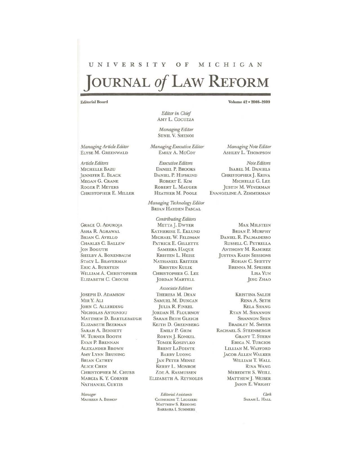## UNIVERSITY OF MICHIGAN JOURNAL of LAW REFORM

#### **Editorial Board**

Volume 42 . 2008-2009

Managing Article Editor ELYSE M. GREENWALD

Article Editors **MICHELLE BAZU** JENNIFER E. BLACK MEGAN G. CRANE **ROGER P. MEYERS** CHRISTOPHER E. MILLER

**GRACE O. ADUROJA** ASHA R. AGRAWAL **BRIAN C. AVELLO CHARLES C. BALLEW JON BOGUTH** SHELBY A. BOXENBAUM STACY L. BRAVERMAN **ERIC A. BUKSTEIN** WILLIAM A. CHRISTOPHER ELIZABETH C. CROUSE

JOSEPH D. ADAMSON MIR Y. ALI JOHN C. ALLERDING NICHOLAS ANTONIOU MATTHEW D. BARTLEBAUGH **ELIZABETH BEERMAN SARAH A. BENNETT** W. TURNER BOOTH EVAN P. BRENNAN **ALEXANDER BROWN AMY LYNN BRUNING BRIAN CATHEY ALICE CHEN** CHRISTOPHER M. CHUBB MARGIA K. Y. CORNER **NATHANIEL CURTIS** 

Manager MAUREEN A. BISHOP

Editor in Chief AMY L. COCUZZA

Managing Editor **SUNIL V. SHENOI** 

Managing Executive Editor EMILY A. McCoy

Executive Editors **DANIEL P. BROOKS** DANIEL P. HIPSKIND ROBERT E. KIM ROBERT L. MAUGER HEATHER M. POOLE

Managing Technology Editor **BRIAN HAYDEN PASCAL** 

**Contributing Editors** METTA J. DWYER **KATHERINE E. EKLUND** MICHAEL W. FELDMAN PATRICK E. GILLETTE **SAMEERA HAQUE** KRISTEN L. HEISE NATHANIEL KRITZER **KRISTEN KULIK** CHRISTOPHER G. LEE **JORDAN MARTELL** 

Associate Editors THERESA M. DEAN SAMUEL M. DUNCAN **JULIA R. FINKEL** JORDAN H. FLOURNOY **SARAH BETH GLEICH** KEITH D. GREENBERG EMILY P. GRIM ROBYN J. KONKEL **TOMEK KOSZYLKO** BRENT LAPOINTE **BARRY LUONG JAN PETER MENSZ** KERRY L. MONROE ZOE A. RASMUSSEN ELIZABETH A. REYNOLDS

> Editorial Assistants CATHERINE T. LEGGIERI MATTHEW S. REDDING BARBARA I. SUMMERS

Managing Note Editor **ASHLEY L. THOMPSON** 

Note Editors **ISABEL M. DANIELS** CHRISTOPHER J. KRIVA MICHELLE G. LEE JUSTIN M. WINERMAN EVANGELINE A. ZIMMERMAN

> **MAX MILSTEIN BRIAN P. MURPHY** DANIEL R. PALMADESSO RUSSELL C. PETRELLA **ANTHONY M. RAMIREZ JUSTINA KAHN SESSIONS** ROHAN C. SHETTY BRENNA M. SPEISER LISA YUN **JING ZHAO**

**KRISTINA SALEH** RENA A. SETH **KELA SHANG** RYAN M. SHANNON **SHANNON SHIN BRADLEY M. SMYER** RACHAEL S. STEENBERGH **GRANT T. STERN ERICA N. TURCIOS** LILLIAN M. WAFFORD **JACOB ALLEN WALKER** WILLIAM T. WALL **RINA WANG MEREDITH S. WEILL** MATTHEW J. WEISER JASON E. WRIGHT

> $Cl$ ork SARAH L. HALL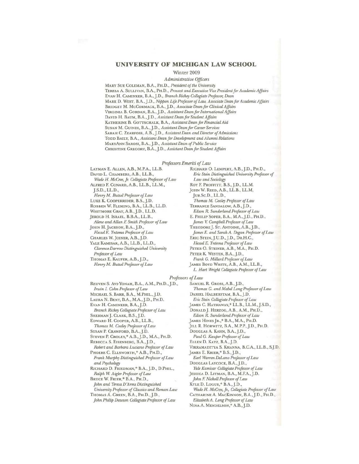### UNIVERSITY OF MICHIGAN LAW SCHOOL

#### Winter 2009

Administrative Officers

MARY SUE COLEMAN, B.A., PH.D., President of the University TERESA A. SULLIVAN, B.A., PH.D., Provost and Executive Vice President for Academic Affairs EVAN H. CAMINKER, B.A., J.D., Branch Rickey Collegiate Professor, Dean MARK D. WEST, B.A., J.D., Nippon Life Professor of Law, Associate Dean for Academic Affairs BRIDGET M. MCCORMACK, B.A., J.D., Associate Dean for Clinical Affairs VIRGINIA B. GORDAN, B.A., J.D., Assistant Dean for International Affairs DAVID H. BAUM, B.A., J.D., Assistant Dean for Student Affairs KATHERINE B. GOTTSCHALK, B.A., Assistant Dean for Financial Aid SUSAN M. GUINDI, B.A., J.D., Assistant Dean for Career Services SARAH C. ZEARFOSS, A.B., J.D., Assistant Dean and Director of Admissions TODD BAILY, B.A., Assistant Dean for Development and Alumni Relations MARYANN SAROSI, B.A., J.D., Assistant Dean of Public Service CHRISTINE GREGORY, B.A., J.D., Assistant Dean for Student Affairs

#### Professors Emeriti of Law

LAYMAN E. ALLEN, A.B., M.P.A., L.L.B. DAVID L. CHAMBERS, A.B., LL.B., Wade H. McCree, Jr. Collegiate Professor of Law ALFRED F. CONARD, A.B., LL.B., LL.M., J.S.D., LL.D., Henry M. Butzel Professor of Law LUKE K. COOPERRIDER, B.S., J.D. ROBBEN W. FLEMING, B.A., LL.B., LL.D. WHITMORE GRAY, A.B., J.D., LL.D. JEROLD H. ISRAEL, B.B.A., L.L.B., Alene and Allan F. Smith Professor of Law JOHN H. JACKSON, B.A., J.D., Hessel E. Yntema Professor of Law CHARLES W. JOINER, A.B., J.D. YALE KAMISAR, A.B., LL.B., LL.D., Clarence Darrow Distinguished University Professor of Law THOMAS E. KAUPER, A.B., J.D.,

Henry M. Butzel Professor of Law

RICHARD O. LEMPERT, A.B., J.D., PH.D., Eric Stein Distinguished University Professor of Law and Sociology ROY F. PROFFITT, B.S., J.D., LL.M. JOHN W. REED, A.B., LL.B., LL.M, JUR.SC.D., LL.D., Thomas M. Cooley Professor of Law TERRANCE SANDALOW, A.B., J.D., Edson R. Sunderland Professor of Law E. PHILIP SOPER, B.A., M.A., J.D., PH.D., James V. Campbell Professor of Law THEODORE J. ST. ANTOINE, A.B., J.D., James E. and Sarah A. Degan Professor of Law ERIC STEIN, J.U.D., J.D., DR.H.C., Hessel E. Yntema Professor of Law PETER O. STEINER, A.B., M.A., PH.D. PETER K. WESTEN, B.A., J.D., Frank G. Millard Professor of Law JAMES BOYD WHITE, A.B., A.M., LL.B., L. Hart Wright Collegiate Professor of Law

#### Professors of Law

REUVEN S. AVI-YONAH, B.A., A.M., PH.D., J.D., Irwin I. Cohn Professor of Law MICHAEL S. BARR, B.A., M.PHIL., J.D. LAURA N. BENY, B.A., M.A., J.D., PH.D. EVAN H. CAMINKER, B.A., J.D. Branch Rickey Collegiate Professor of Law SHERMAN J. CLARK, B.S., J.D. EDWARD H. COOPER, A.B., LL.B., Thomas M. Cooley Professor of Law SUSAN P. CRAWFORD, B.A., J.D. STEVEN P. CROLEY,\* A.B., J.D., M.A., PH.D. REBECCA S. EISENBERG, B.A., J.D., Robert and Barbara Luciano Professor of Law PHOEBE C. ELLSWORTH,\* A.B., PH.D., Frank Murphy Distinguished Professor of Law

and Psychology RICHARD D. FRIEDMAN,\* B.A., J.D., D.PHIL., Ralph W. Aigler Professor of Law

BRUCE W. FRIER,\* B.A., PH.D., John and Teresa D'Arms Distinguished University Professor of Classics and Roman Law

THOMAS A. GREEN, B.A., PH.D., J.D., John Philip Dawson Collegiate Professor of Law

SAMUEL R. GROSS, A.B., J.D., Thomas G. and Mabel Long Professor of Law DANIEL HALBERSTAM, B.A., J.D. Eric Stein Collegiate Professor of Law JAMES C. HATHAWAY,\* LL.B., LL.M., J.S.D., DONALD J. HERZOG, A.B., A.M., PH.D., Edson R. Sunderland Professor of Law JAMES HINES JR.,\* B.A., M.A., PH.D. JILL R. HORWITZ, B.A., M.P.P., J.D., PH.D. DOUGLAS A. KAHN, B.A., J.D., Paul G. Kauper Professor of Law ELLEN D. KATZ, B.A., J.D. VIKRAMADITYA S. KHANNA, B.C.A., L.L.B., S.J.D. JAMES E. KRIER,\* B.S., J.D., Earl Warren DeLano Professor of Law DOUGLAS LAYCOCK, B.A., J.D., Yale Kamisar Collegiate Professor of Law JESSICA D. LITMAN, B.A., M.F.A., J.D. John F. Nickoll Professor of Law KYLE D. LOGUE,\* B.A., J.D., Wade H. McCree, Jr., Collegiate Professor of Law CATHARINE A. MACKINNON, B.A., J.D., PH.D., Elizabeth A. Long Professor of Law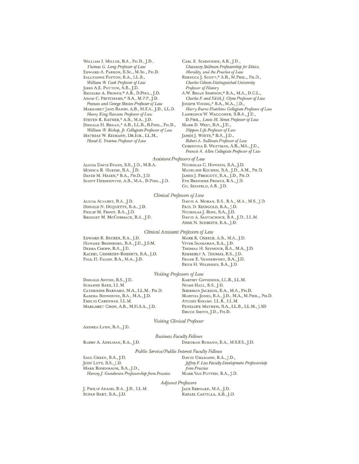WILLIAM I. MILLER, B.A., PH.D., J.D., *Thomas G. Long Professor of Law*  EDWARD A. PARSON, B.Sc., M.Sc., PH.D. SALLYANNE PAYTON, B.A., LL.B., *William W. Cook Professor of Law*  JOHN A.E. POTTOW, A.B., J.D. RICHARD A. PRIMUS,\* A.B., D.PHIL., J.D. ADAM C. PRITCHARD,\* B.A., M.P.P., J.D. *Frances and George Skestos Professor of Law*  MARGARET JANE RADIN, A.B., M.F.A.,J.D., LL.D. *Henry* King *Ransom Professor of Law*  STEVEN R. RATNER,\* A.B., M.A., J.D. DONALD H. REGAN,\* A.B., LL.B., B.PHIL., PH.D., *William W. Bishop, Jr. Collegiate Professor of Law*  MATHIAS W. REIMANN, DR.lUR., LL.M., *Hess8'* E. *Yntema Professor* of *Law* 

CARLE. SCHNEIDER, A.B.,J.0., *Chauncey Stillman Professorship for Ethics, Morality, and the Practice of Law*  REBECCAj. Scorr,\* A.B., M.PHIL., PH.D., *Charles Gibson Distinguished University Professor of History*  A. w. BRIAN SIMPSON,\* B.A., M.A., D.C.L., *Charles F. and Edith J. Clyne Professor of Law* JOSEPH VINING,\* B.A., M.A.,J.D., *Harry Burns Hutchins* Collegiate *Professor of Law*  LAWRENCE W. WAGGONER, B.B.A., J.D., D.PHIL., Lewis M. Simes Professor of Law MARK D. WEST, B.A.,J.D., *Nippon Life Professor of Law*  JAMESJ. WHITE,\* B.A.,J.D., *Robert* A. *Sullivan Professor of Law*  CHRISTINA B. WHITMAN, A.B., MA., J.D., *Francis A. Alim Collegiate Professor of Law* 

#### **Assistant Professors of Law**

ALICIA DAVIS EVANS, B.S., J.D., M.B.A. NICHOLAS C. HOWSON, B.A., J.D. MONICA R. HAKIMI, B.A., J.D. MADELINE KOCHEN, B.A., J.D., A.M., PH.D.<br>David M. Hasen,\* B.A., Ph.D., J.D. James J. Prescott, B.A., J.D., Ph.D. SCOTT HERSHOVITZ, A.B., M.A., D.PHIL., J.D.

James J. Prescott, B.A., J.D., Ph.D.<br>Eve Brensike Primus, B.A., J.D. GIL SEINFELD, A.B., J.D.

#### *Clinical Professors of Law*

ALICIA ALVAREZ, B.A., J.D. DONALD N. DUQUETTE, B.A.,J.D. PHILIP M. FROST, B.A., J.D. BRJDGET M. McCORMACK, B.A.,J.D. DAVID A. MORAN, B.S., B.A., M.A., M.S., J.D. PAUL D. REINGOLD, B.A., J.D. NICHOLAS]. RINE, B.A.,J.D. DAVID A. SANTACROCE, B.A.,J.D., LL.M. ANNE N. SCHROTH, B.A., J.D.

#### *Clinical Assistant Professors of Law*

EDWARD R. BECKER, B.A., J.D. HOWARD BROMBERG, B.A., J.D., J.S.M. DEBRA CHOPP, B.A., J.D. RACHEL CROSKERY-ROBERTS, B.A., J.D. PAUL H. FALON, B.A., M.A., J.D.

MARK K. OSBECK, A.B., M.A., J.D. VIVEK SANKARAN, B.A., J.D. THOMAS H. SEYMOUR, B.A., M.A., J.D. KIMBERLY A. THOMAS, B.S., J.D. FRANKE. VANDERVORT, B.A.,J.D. BETH H. WILENSKY, B.A., J.D.

#### *Vi.siting Professors of Law*

DONALD ANTON, B.S., J.D. SUSANNE BAER, LL.M. CATHERJNE BARNARD, M.A., LL.M., PH.D. KARIMA BENNOUNE, B.A., M.A.,J.D. EMILIO CARDENAS, LL.M. MARGARET CHON, A.B., M.H.S.A., J.D.

KARTHY GOVENDER, LL.B., LL.M. NOAH HALL, B.S., J.D. SHERMAN JACKSON, B.A., M.A., PH.D. MARTHA JONES, B.A., J.D., M.A., M.PHIL., PH.D. ATUSHl KINAMl, LL.B., LL.M. PENELOPE MATHEW, B.A., L.L.B., L.L.M., J.SD BRUCE SMITH, J.D., PH.D.

*Visiting Clinical Professor* 

ANDREA LYON, B.A., J.D.

*Business Faculty Fellows* 

BARRY A. ADELMAN, B.A., J.D. DEBORAH BURAND, B.A., M.S.F.S., J.D.

*Public Service/ Public Interest Faculty Fellows* 

SAUL GREEN, B.A., J.D. JUDY LEVY, B.S., J.D. MARK ROSENBAUM, B.A., J.D., *Harvey J. Gunderson Professorship from Practice*  DAVID UHLMANN, B.A., J.D., *Jeffrey* E *Liss Facully Develbpmnit Professorship*  from *Practice*<br>MARK VAN PUTTEN, B.A., J.D.

*Adjunct Professors* 

J. PHruP ADAMS, B.A.,J.D., LL.M. SUSAN BART, BA.,J.D.

JACK BERNARD, M.A., J.D. RAFAEL CASTILLA, A.B.,J.D.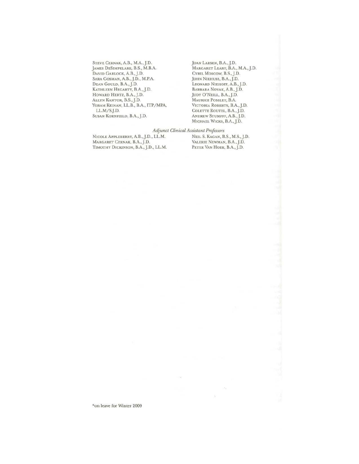STEVE CERNAK, A.B., M.A., J.D. JAMES DESIMPELARE, B.S., M.B.A. DAVID GARLOCK, A.B.,J.D. SARA GOSMAN, A.B., J.D., M.P.A. DEAN GOULD, B.A.,J.D. KATHLEEN HEGARTY, B.A., J.D. HOWARD HERTZ, B.A.,J.D. ALLYN KANTOR, B.S.,J.D. YORAM KElNAN, LL.B., B.A., TTP/MPA. LL.M/SJ.D. SUSAN KORNfT£LD, BA.,J.D.

JOAN LARSEN, B.A.,J.0. MARGARET LEARY, B.A., M.A.,J.D. CYRIL Moscow, B.S.,J.D. JOHN NIEHUSS, B.A., J.D. LEONARD NIEHOFF, A.B.,J.D. BARBARA NOVAK, A.B., J.D. JUDY O'NEILL, B.A.,J.D. MAURICE POSSLEY, B.A. VICTORIA ROBERTS, B.A.,J.D. COLETTE ROUTEL, B.A., J.D. ANDREW STUMPFF, A.B.,J.D. MICHAEL WICKS, B.A.,J.D.

### *Adjunct Clinical Assistant Prof essars*

NICOLE APPLEBERRY, A.B.,J.D., LL.M. NEILS. KAGAN, B.S., M.S.,J.D. MARGARET CERNAK, B.A., J.D. TIMOTHY DICKINSON, B.A., J.D., LL.M. PETER VAN HOEK, B.A., J.D.

\*on leave for Winter 2009